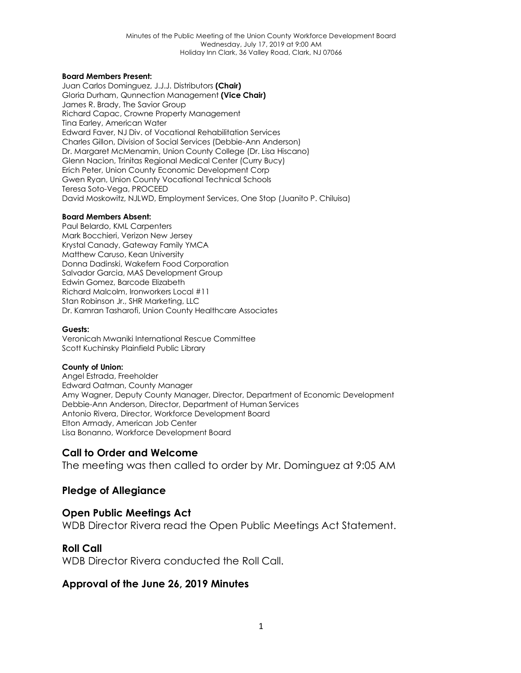#### **Board Members Present:**

Juan Carlos Dominguez, J.J.J. Distributors **(Chair)** Gloria Durham, Qunnection Management **(Vice Chair)** James R. Brady, The Savior Group Richard Capac, Crowne Property Management Tina Earley, American Water Edward Faver, NJ Div. of Vocational Rehabilitation Services Charles Gillon, Division of Social Services (Debbie-Ann Anderson) Dr. Margaret McMenamin, Union County College (Dr. Lisa Hiscano) Glenn Nacion, Trinitas Regional Medical Center (Curry Bucy) Erich Peter, Union County Economic Development Corp Gwen Ryan, Union County Vocational Technical Schools Teresa Soto-Vega, PROCEED David Moskowitz, NJLWD, Employment Services, One Stop (Juanito P. Chiluisa)

#### **Board Members Absent:**

Paul Belardo, KML Carpenters Mark Bocchieri, Verizon New Jersey Krystal Canady, Gateway Family YMCA Matthew Caruso, Kean University Donna Dadinski, Wakefern Food Corporation Salvador Garcia, MAS Development Group Edwin Gomez, Barcode Elizabeth Richard Malcolm, Ironworkers Local #11 Stan Robinson Jr., SHR Marketing, LLC Dr. Kamran Tasharofi, Union County Healthcare Associates

#### **Guests:**

Veronicah Mwaniki International Rescue Committee Scott Kuchinsky Plainfield Public Library

#### **County of Union:**

Angel Estrada, Freeholder Edward Oatman, County Manager Amy Wagner, Deputy County Manager, Director, Department of Economic Development Debbie-Ann Anderson, Director, Department of Human Services Antonio Rivera, Director, Workforce Development Board Elton Armady, American Job Center Lisa Bonanno, Workforce Development Board

### **Call to Order and Welcome**

The meeting was then called to order by Mr. Dominguez at 9:05 AM

## **Pledge of Allegiance**

## **Open Public Meetings Act**

WDB Director Rivera read the Open Public Meetings Act Statement.

## **Roll Call**

WDB Director Rivera conducted the Roll Call.

## **Approval of the June 26, 2019 Minutes**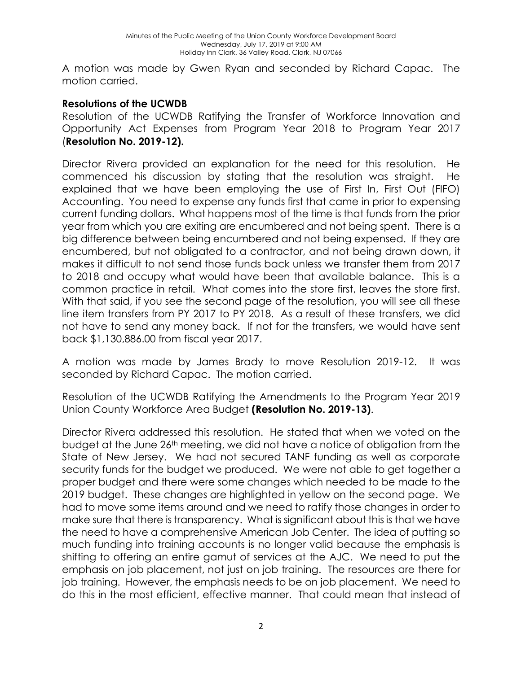A motion was made by Gwen Ryan and seconded by Richard Capac. The motion carried.

# **Resolutions of the UCWDB**

Resolution of the UCWDB Ratifying the Transfer of Workforce Innovation and Opportunity Act Expenses from Program Year 2018 to Program Year 2017 (**Resolution No. 2019-12).**

Director Rivera provided an explanation for the need for this resolution. He commenced his discussion by stating that the resolution was straight. He explained that we have been employing the use of First In, First Out (FIFO) Accounting. You need to expense any funds first that came in prior to expensing current funding dollars. What happens most of the time is that funds from the prior year from which you are exiting are encumbered and not being spent. There is a big difference between being encumbered and not being expensed. If they are encumbered, but not obligated to a contractor, and not being drawn down, it makes it difficult to not send those funds back unless we transfer them from 2017 to 2018 and occupy what would have been that available balance. This is a common practice in retail. What comes into the store first, leaves the store first. With that said, if you see the second page of the resolution, you will see all these line item transfers from PY 2017 to PY 2018. As a result of these transfers, we did not have to send any money back. If not for the transfers, we would have sent back \$1,130,886.00 from fiscal year 2017.

A motion was made by James Brady to move Resolution 2019-12. It was seconded by Richard Capac. The motion carried.

Resolution of the UCWDB Ratifying the Amendments to the Program Year 2019 Union County Workforce Area Budget **(Resolution No. 2019-13)**.

Director Rivera addressed this resolution. He stated that when we voted on the budget at the June 26th meeting, we did not have a notice of obligation from the State of New Jersey. We had not secured TANF funding as well as corporate security funds for the budget we produced. We were not able to get together a proper budget and there were some changes which needed to be made to the 2019 budget. These changes are highlighted in yellow on the second page. We had to move some items around and we need to ratify those changes in order to make sure that there is transparency. What is significant about this is that we have the need to have a comprehensive American Job Center. The idea of putting so much funding into training accounts is no longer valid because the emphasis is shifting to offering an entire gamut of services at the AJC. We need to put the emphasis on job placement, not just on job training. The resources are there for job training. However, the emphasis needs to be on job placement. We need to do this in the most efficient, effective manner. That could mean that instead of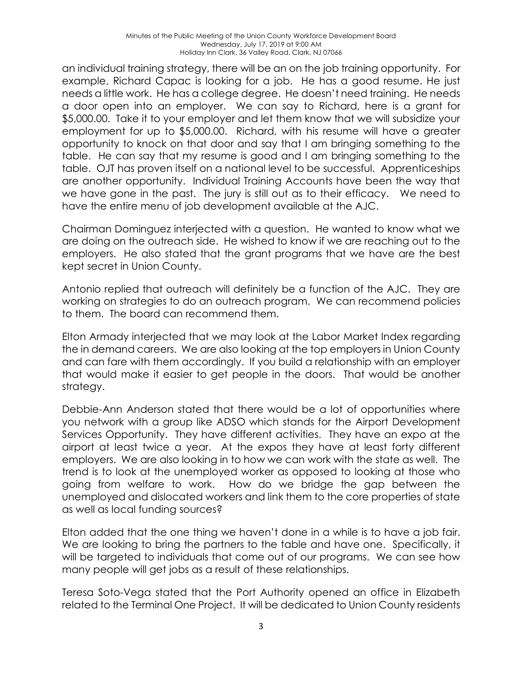an individual training strategy, there will be an on the job training opportunity. For example, Richard Capac is looking for a job. He has a good resume. He just needs a little work. He has a college degree. He doesn't need training. He needs a door open into an employer. We can say to Richard, here is a grant for \$5,000.00. Take it to your employer and let them know that we will subsidize your employment for up to \$5,000.00. Richard, with his resume will have a greater opportunity to knock on that door and say that I am bringing something to the table. He can say that my resume is good and I am bringing something to the table. OJT has proven itself on a national level to be successful. Apprenticeships are another opportunity. Individual Training Accounts have been the way that we have gone in the past. The jury is still out as to their efficacy. We need to have the entire menu of job development available at the AJC.

Chairman Dominguez interjected with a question. He wanted to know what we are doing on the outreach side. He wished to know if we are reaching out to the employers. He also stated that the grant programs that we have are the best kept secret in Union County.

Antonio replied that outreach will definitely be a function of the AJC. They are working on strategies to do an outreach program. We can recommend policies to them. The board can recommend them.

Elton Armady interjected that we may look at the Labor Market Index regarding the in demand careers. We are also looking at the top employers in Union County and can fare with them accordingly. If you build a relationship with an employer that would make it easier to get people in the doors. That would be another strategy.

Debbie-Ann Anderson stated that there would be a lot of opportunities where you network with a group like ADSO which stands for the Airport Development Services Opportunity. They have different activities. They have an expo at the airport at least twice a year. At the expos they have at least forty different employers. We are also looking in to how we can work with the state as well. The trend is to look at the unemployed worker as opposed to looking at those who going from welfare to work. How do we bridge the gap between the unemployed and dislocated workers and link them to the core properties of state as well as local funding sources?

Elton added that the one thing we haven't done in a while is to have a job fair. We are looking to bring the partners to the table and have one. Specifically, it will be targeted to individuals that come out of our programs. We can see how many people will get jobs as a result of these relationships.

Teresa Soto-Vega stated that the Port Authority opened an office in Elizabeth related to the Terminal One Project. It will be dedicated to Union County residents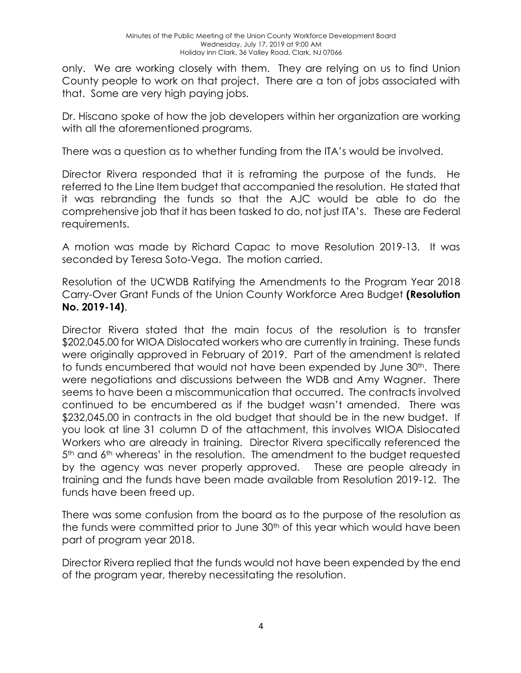only. We are working closely with them. They are relying on us to find Union County people to work on that project. There are a ton of jobs associated with that. Some are very high paying jobs.

Dr. Hiscano spoke of how the job developers within her organization are working with all the aforementioned programs.

There was a question as to whether funding from the ITA's would be involved.

Director Rivera responded that it is reframing the purpose of the funds. He referred to the Line Item budget that accompanied the resolution. He stated that it was rebranding the funds so that the AJC would be able to do the comprehensive job that it has been tasked to do, not just ITA's. These are Federal requirements.

A motion was made by Richard Capac to move Resolution 2019-13. It was seconded by Teresa Soto-Vega. The motion carried.

Resolution of the UCWDB Ratifying the Amendments to the Program Year 2018 Carry-Over Grant Funds of the Union County Workforce Area Budget **(Resolution No. 2019-14)**.

Director Rivera stated that the main focus of the resolution is to transfer \$202,045.00 for WIOA Dislocated workers who are currently in training. These funds were originally approved in February of 2019. Part of the amendment is related to funds encumbered that would not have been expended by June 30<sup>th</sup>. There were negotiations and discussions between the WDB and Amy Wagner. There seems to have been a miscommunication that occurred. The contracts involved continued to be encumbered as if the budget wasn't amended. There was \$232,045.00 in contracts in the old budget that should be in the new budget. If you look at line 31 column D of the attachment, this involves WIOA Dislocated Workers who are already in training. Director Rivera specifically referenced the  $5<sup>th</sup>$  and  $6<sup>th</sup>$  whereas' in the resolution. The amendment to the budget requested by the agency was never properly approved. These are people already in training and the funds have been made available from Resolution 2019-12. The funds have been freed up.

There was some confusion from the board as to the purpose of the resolution as the funds were committed prior to June 30<sup>th</sup> of this year which would have been part of program year 2018.

Director Rivera replied that the funds would not have been expended by the end of the program year, thereby necessitating the resolution.